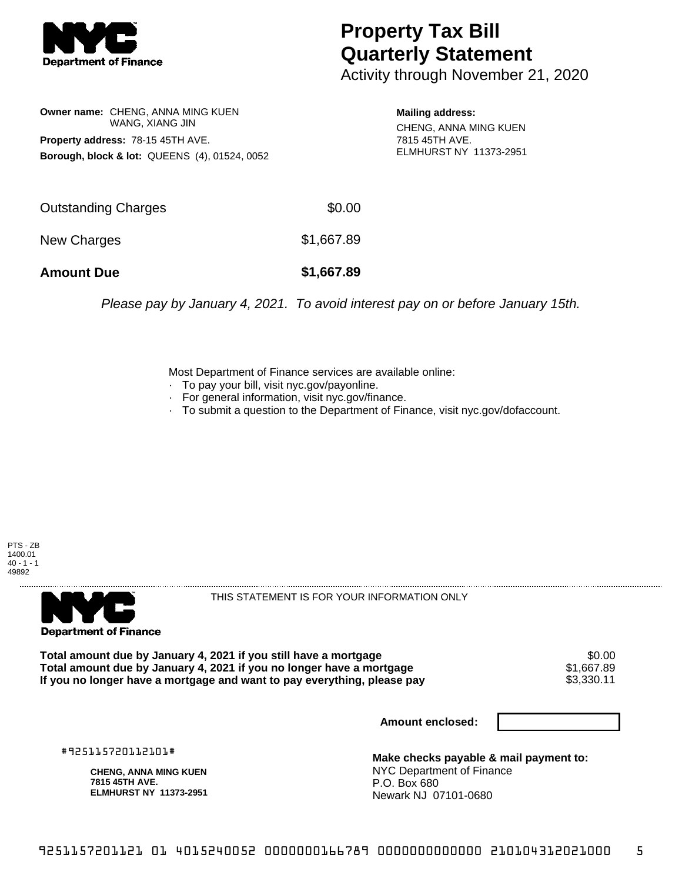

## **Property Tax Bill Quarterly Statement**

Activity through November 21, 2020

**Owner name:** CHENG, ANNA MING KUEN WANG, XIANG JIN **Property address:** 78-15 45TH AVE. **Borough, block & lot:** QUEENS (4), 01524, 0052

**Mailing address:** CHENG, ANNA MING KUEN 7815 45TH AVE. ELMHURST NY 11373-2951

| <b>Amount Due</b>   | \$1,667.89 |
|---------------------|------------|
| New Charges         | \$1,667.89 |
| Outstanding Charges | \$0.00     |

Please pay by January 4, 2021. To avoid interest pay on or before January 15th.

Most Department of Finance services are available online:

- · To pay your bill, visit nyc.gov/payonline.
- For general information, visit nyc.gov/finance.
- · To submit a question to the Department of Finance, visit nyc.gov/dofaccount.





THIS STATEMENT IS FOR YOUR INFORMATION ONLY

Total amount due by January 4, 2021 if you still have a mortgage \$0.00<br>Total amount due by January 4, 2021 if you no longer have a mortgage \$1.667.89 **Total amount due by January 4, 2021 if you no longer have a mortgage**  $$1,667.89$ **<br>If you no longer have a mortgage and want to pay everything, please pay**  $$3,330.11$ If you no longer have a mortgage and want to pay everything, please pay

**Amount enclosed:**

#925115720112101#

**CHENG, ANNA MING KUEN 7815 45TH AVE. ELMHURST NY 11373-2951**

**Make checks payable & mail payment to:** NYC Department of Finance P.O. Box 680 Newark NJ 07101-0680